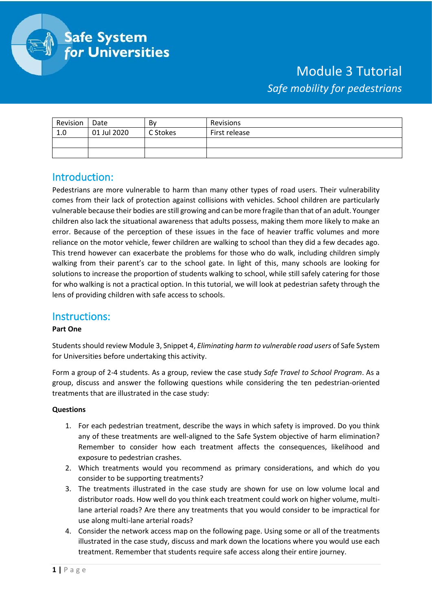

# Module 3 Tutorial *Safe mobility for pedestrians*

| Revision | Date        | Bv       | Revisions     |
|----------|-------------|----------|---------------|
| 1.0      | 01 Jul 2020 | C Stokes | First release |
|          |             |          |               |
|          |             |          |               |

## Introduction:

Pedestrians are more vulnerable to harm than many other types of road users. Their vulnerability comes from their lack of protection against collisions with vehicles. School children are particularly vulnerable because their bodies are still growing and can be more fragile than that of an adult. Younger children also lack the situational awareness that adults possess, making them more likely to make an error. Because of the perception of these issues in the face of heavier traffic volumes and more reliance on the motor vehicle, fewer children are walking to school than they did a few decades ago. This trend however can exacerbate the problems for those who do walk, including children simply walking from their parent's car to the school gate. In light of this, many schools are looking for solutions to increase the proportion of students walking to school, while still safely catering for those for who walking is not a practical option. In this tutorial, we will look at pedestrian safety through the lens of providing children with safe access to schools.

## Instructions:

### **Part One**

Students should review Module 3, Snippet 4, *Eliminating harm to vulnerable road users* of Safe System for Universities before undertaking this activity.

Form a group of 2-4 students. As a group, review the case study *Safe Travel to School Program*. As a group, discuss and answer the following questions while considering the ten pedestrian-oriented treatments that are illustrated in the case study:

### **Questions**

- 1. For each pedestrian treatment, describe the ways in which safety is improved. Do you think any of these treatments are well-aligned to the Safe System objective of harm elimination? Remember to consider how each treatment affects the consequences, likelihood and exposure to pedestrian crashes.
- 2. Which treatments would you recommend as primary considerations, and which do you consider to be supporting treatments?
- 3. The treatments illustrated in the case study are shown for use on low volume local and distributor roads. How well do you think each treatment could work on higher volume, multilane arterial roads? Are there any treatments that you would consider to be impractical for use along multi-lane arterial roads?
- 4. Consider the network access map on the following page. Using some or all of the treatments illustrated in the case study, discuss and mark down the locations where you would use each treatment. Remember that students require safe access along their entire journey.